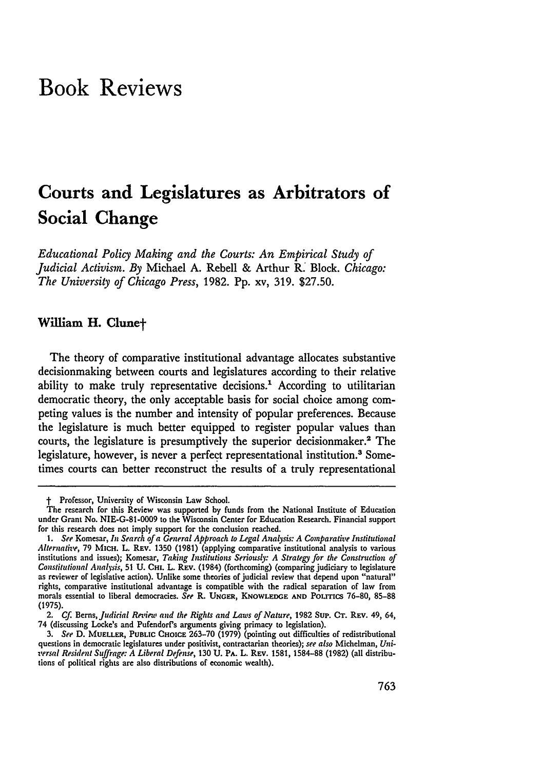# Book Reviews

## **Courts and Legislatures as Arbitrators of Social Change**

*Educational Policy Making and the Courts: An Empirical Study of Judicial Activism. By* Michael **A.** Rebell **&** Arthur R. Block. *Chicago: The University of Chicago Press,* **1982. Pp.** xv, **319. \$27.50.**

#### William H. Clunet

The theory of comparative institutional advantage allocates substantive decisionmaking between courts and legislatures according to their relative ability to make truly representative decisions.' According to utilitarian democratic theory, the only acceptable basis for social choice among competing values is the number and intensity of popular preferences. Because the legislature is much better equipped to register popular values than courts, the legislature is presumptively the superior decisionmaker.<sup>2</sup> The legislature, however, is never a perfect representational institution.<sup>3</sup> Sometimes courts can better reconstruct the results of a truly representational

t Professor, University of Wisconsin Law School. The research for this Review was supported **by** funds from the National Institute of Education under Grant No. **NIE-G-81-0009** to the Wisconsin Center for Education Research. Financial support for this research does not imply support for the conclusion reached.

*<sup>1.</sup> See* Komesar, *In Search of a General Approach to Legal Analysis: A Comparative Institutional Alternative,* 79 **MICH.** L. REV. 1350 (1981) (applying comparative institutional analysis to various institutions and issues); Komesar, *Taking Institutions Seriously A Strategy for the Construction of* Constitutional Analysis, 51 **U. CI.** L. REV. (1984) (forthcoming) (comparing judiciary to legislature as reviewer of legislative action). Unlike some theories of judicial review that depend upon "natural" rights, comparative institutional advantage is compatible with the radical separation of law from morals essential to liberal democracies. *See* R. **UNGER, KNOWLEDGE AND** PoLmcs **76-80, 85-88 (1975).**

<sup>2.</sup> *Cf. Berns, Judicial Review and the Rights and Laws of Nature,* **1982** Sup. **CT. REV. 49, 64,** 74 (discussing Locke's and Pufendorf's arguments giving primacy to legislation).

*<sup>3.</sup> See* **D. MUELLER, PUBLIC CHOICE 263-70 (1979)** (pointing out difficulties of redistributional questions in democratic legislatures under positivist, contractarian theories); *see also* Michelman, *Universal Resident Suffrage: A Liberal Defense,* **130 U. PA. L. REV. 1581, 1584-88 (1982)** (all distributions of political rights are also distributions of economic wealth).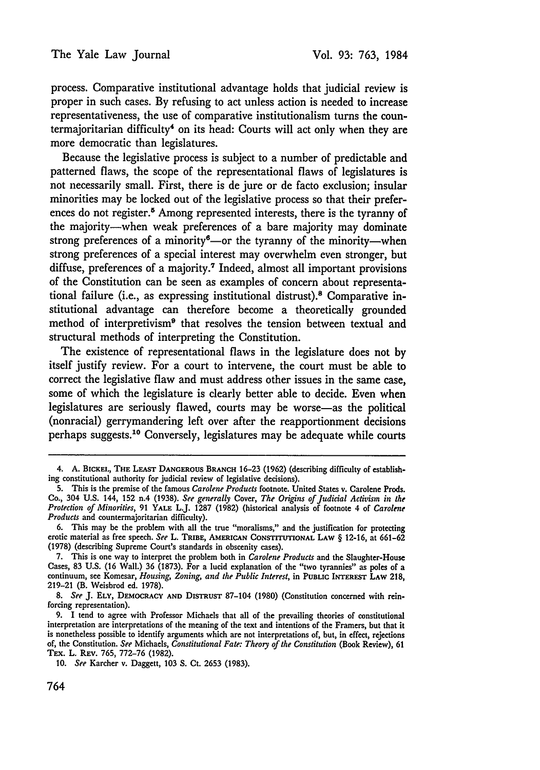process. Comparative institutional advantage holds that judicial review is proper in such cases. By refusing to act unless action is needed to increase representativeness, the use of comparative institutionalism turns the countermajoritarian difficulty<sup>4</sup> on its head: Courts will act only when they are more democratic than legislatures.

Because the legislative process is subject to a number of predictable and patterned flaws, the scope of the representational flaws of legislatures is not necessarily small. First, there is de jure or de facto exclusion; insular minorities may be locked out of the legislative process so that their preferences do not register.<sup>5</sup> Among represented interests, there is the tyranny of the majority-when weak preferences of a bare majority may dominate strong preferences of a minority<sup>6</sup>-or the tyranny of the minority-when strong preferences of a special interest may overwhelm even stronger, but diffuse, preferences of a majority.<sup>7</sup> Indeed, almost all important provisions of the Constitution can be seen as examples of concern about representational failure (i.e., as expressing institutional distrust).8 Comparative institutional advantage can therefore become a theoretically grounded method of interpretivism<sup>9</sup> that resolves the tension between textual and structural methods of interpreting the Constitution.

The existence of representational flaws in the legislature does not by itself justify review. For a court to intervene, the court must be able to correct the legislative flaw and must address other issues in the same case, some of which the legislature is clearly better able to decide. Even when legislatures are seriously flawed, courts may be worse-as the political (nonracial) gerrymandering left over after the reapportionment decisions perhaps suggests.<sup>10</sup> Conversely, legislatures may be adequate while courts

<sup>4.</sup> **A. BICKEI., THE LEAST DANGEROUS BRANCH** 16-23 **(1962)** (describing difficulty of establishing constitutional authority for judicial review of legislative decisions).

**<sup>5.</sup>** This is the premise of the famous *Carolene Products* footnote. United States v. Carolene Prods. Co., 304 U.S. 144, **152** n.4 (1938). *See generally* Cover, *The Origins of Judicial Activism in the Protection of Minorities,* 91 **YALE** L.J. 1287 (1982) (historical analysis of footnote 4 of *Carolene Products* and countermajoritarian difficulty).

<sup>6.</sup> This may be the problem with all the true "moralisms," and the justification for protecting erotic material as free speech. *See* L. **TRIBE,** AMERICAN **CONSTrrTIONAL LAW** § 12-16, at 661-62 (1978) (describing Supreme Court's standards in obscenity cases).

<sup>7.</sup> This is one way to interpret the problem both in *Carolene Products* and the Slaughter-House continuum, see Komesar, *Housing, Zoning, and the Public Interest*, in PUBLIC INTEREST LAW 218, **219-21** (B. Weisbrod **ed. 1978).**

<sup>8.</sup> See J. ELY, DEMOCRACY AND DISTRUST 87-104 (1980) (Constitution concerned with reinforcing representation).

**<sup>9.</sup> I** tend to agree with Professor Michaels that all of the prevailing theories of constitutional interpretation are interpretations of the meaning of the text and intentions of the Framers, but that it is nonetheless possible to identify arguments which are not interpretations of, but, in effect, rejections of, the Constitution. *See* Michaels, *Constitutional Fate: Theory of the Constitution* (Book Review), **61** TEX. L. REv. **765, 772-76 (1982).**

**<sup>10.</sup>** *See* Karcher v. Daggett, **103 S.** Ct. **2653 (1983).**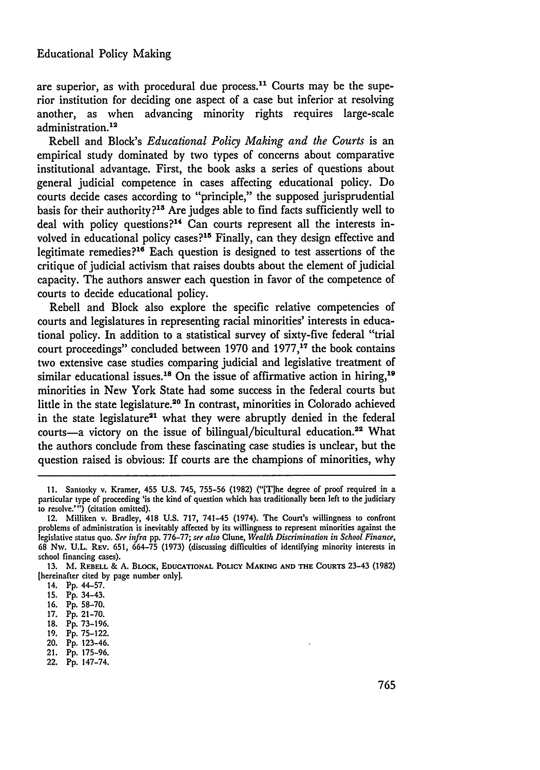are superior, as with procedural due process.<sup>11</sup> Courts may be the superior institution for deciding one aspect of a case but inferior at resolving another, as when advancing minority rights requires large-scale administration.<sup>12</sup>

Rebell and Block's *Educational Policy Making and the Courts* is an empirical study dominated by two types of concerns about comparative institutional advantage. First, the book asks a series of questions about general judicial competence in cases affecting educational policy. Do courts decide cases according to "principle," the supposed jurisprudential basis for their authority?13 Are judges able to find facts sufficiently well to deal with policy questions?14 Can courts represent all the interests involved in educational policy cases?<sup>15</sup> Finally, can they design effective and legitimate remedies?<sup>16</sup> Each question is designed to test assertions of the critique of judicial activism that raises doubts about the element of judicial capacity. The authors answer each question in favor of the competence of courts to decide educational policy.

Rebell and Block also explore the specific relative competencies of courts and legislatures in representing racial minorities' interests in educational policy. In addition to a statistical survey of sixty-five federal "trial court proceedings" concluded between 1970 and 1977,<sup>17</sup> the book contains two extensive case studies comparing judicial and legislative treatment of similar educational issues.<sup>18</sup> On the issue of affirmative action in hiring,<sup>19</sup> minorities in New York State had some success in the federal courts but little in the state legislature.20 In contrast, minorities in Colorado achieved in the state legislature<sup>21</sup> what they were abruptly denied in the federal courts-a victory on the issue of bilingual/bicultural education.<sup>22</sup> What the authors conclude from these fascinating case studies is unclear, but the question raised is obvious: If courts are the champions of minorities, why

<sup>11.</sup> Santosky v. Kramer, 455 U.S. 745, 755-56 (1982) ("[T]he degree of proof required in a particular type of proceeding 'is the kind of question which has traditionally been left to the judiciary to resolve."') (citation omitted).

<sup>12.</sup> Milliken v. Bradley, 418 U.S. 717, 741-45 (1974). The Court's willingness to confront problems of administration is inevitably affected **by** its willingness to represent minorities against the legislative status quo. *See infra* pp. **776-77;** *see also* Clune, *Wealth Discrimination in School Finance,* 68 Nw. U.L. REv. 651, 664-75 (1973) (discussing difficulties of identifying minority interests in school financing cases).

**<sup>13.</sup>** M. **REBELL & A. BLOCK, EDUCATIONAL POLICY MAKING AND THE COURTS** 23-43 **(1982)** [hereinafter cited by page number only].

<sup>14.</sup> **Pp.** 44-57.

**<sup>15.</sup> Pp.** 34-43.

**<sup>16.</sup> Pp.** 58-70.

**<sup>17.</sup> Pp. 21-70.**

**<sup>18.</sup> Pp.** 73-196.

<sup>19.</sup> **Pp.** 75-122.

<sup>20.</sup> **Pp.** 123-46.

<sup>21.</sup> **Pp.** 175-96.

<sup>22.</sup> **Pp.** 147-74.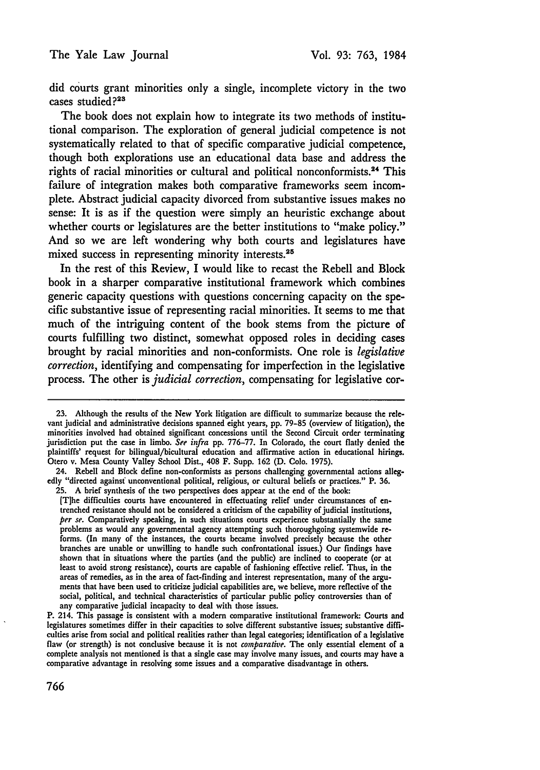did courts grant minorities only a single, incomplete victory in the two cases studied?<sup>28</sup>

The book does not explain how to integrate its two methods of institutional comparison. The exploration of general judicial competence is not systematically related to that of specific comparative judicial competence, though both explorations use an educational data base and address the rights of racial minorities or cultural and political nonconformists.<sup>24</sup> This failure of integration makes both comparative frameworks seem incomplete. Abstract judicial capacity divorced from substantive issues makes no sense: It is as if the question were simply an heuristic exchange about whether courts or legislatures are the better institutions to "make policy." And so we are left wondering why both courts and legislatures have mixed success in representing minority interests.<sup>25</sup>

In the rest of this Review, I would like to recast the Rebell and Block book in a sharper comparative institutional framework which combines generic capacity questions with questions concerning capacity on the specific substantive issue of representing racial minorities. It seems to me that much of the intriguing content of the book stems from the picture of courts fulfilling two distinct, somewhat opposed roles in deciding cases brought **by** racial minorities and non-conformists. One role is *legislative correction,* identifying and compensating for imperfection in the legislative process. The other is *judicial correction,* compensating for legislative cor-

24. Rebell and Block define non-conformists as persons challenging governmental actions allegedly "directed against unconventional political, religious, or cultural beliefs or practices." P. 36. **25.** A brief synthesis of the two perspectives does appear at the end of the book:

[T]he difficulties courts have encountered in effectuating relief under circumstances of entrenched resistance should not be considered a criticism of the capability of judicial institutions, *per se.* Comparatively speaking, in such situations courts experience substantially the same problems as would any governmental agency attempting such thoroughgoing systemwide reforms. (In many of the instances, the courts became involved precisely because the other branches are unable or unwilling to handle such confrontational issues.) Our findings have shown that in situations where the parties (and the public) are inclined to cooperate (or at least to avoid strong resistance), courts are capable of fashioning effective relief. Thus, in the areas of remedies, as in the area of fact-finding and interest representation, many of the arguments that have been used to criticize judicial capabilities are, we believe, more reflective of the social, political, and technical characteristics of particular public policy controversies than of any comparative judicial incapacity to deal with those issues.

P. 214. This passage is consistent with a modern comparative institutional framework: Courts and legislatures sometimes differ in their capacities to solve different substantive issues; substantive difficulties arise from social and political realities rather than legal categories; identification of a legislative flaw (or strength) is not conclusive because it is not *comparative.* The only essential element of a complete analysis not mentioned is that a single case may involve many issues, and courts may have a comparative advantage in resolving some issues and a comparative disadvantage in others.

**<sup>23.</sup>** Although the results of the New York litigation are difficult to summarize because the relevant judicial and administrative decisions spanned eight years, pp. 79-85 (overview of litigation), the minorities involved had obtained significant concessions until the Second Circuit order terminating jurisdiction put the case in limbo. *See infra* pp. 776-77. In Colorado, the court flatly denied the plaintiffs' request for bilingual/bicultural education and affirmative action in educational hirings. Otero v. Mesa County Valley School Dist., 408 F. Supp. 162 (D. Colo. 1975).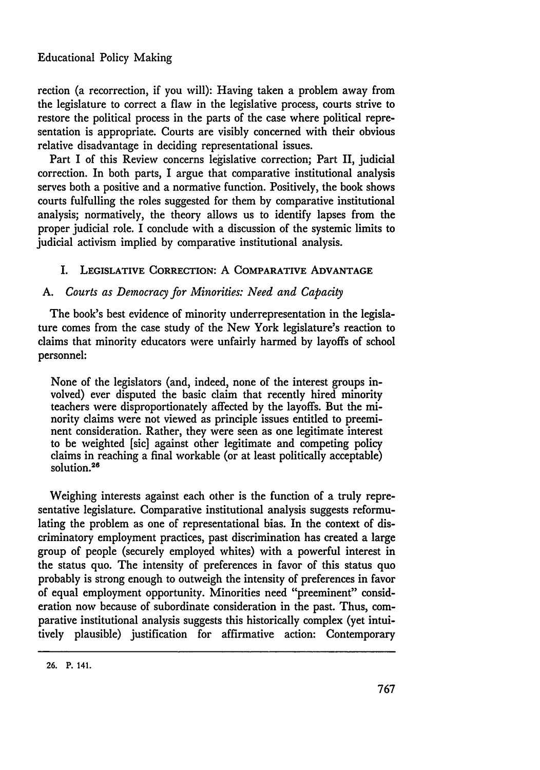rection (a recorrection, if you will): Having taken a problem away from the legislature to correct a flaw in the legislative process, courts strive to restore the political process in the parts of the case where political representation is appropriate. Courts are visibly concerned with their obvious relative disadvantage in deciding representational issues.

Part I of this Review concerns legislative correction; Part II, judicial correction. In both parts, I argue that comparative institutional analysis serves both a positive and a normative function. Positively, the book shows courts fulfulling the roles suggested for them by comparative institutional analysis; normatively, the theory allows us to identify lapses from the proper judicial role. I conclude with a discussion of the systemic limits to judicial activism implied by comparative institutional analysis.

## I. **LEGISLATIVE CORRECTION: A COMPARATIVE ADVANTAGE**

## *A. Courts as* Democracy for *Minorities: Need and Capacity*

The book's best evidence of minority underrepresentation in the legislature comes from the case study of the New York legislature's reaction to claims that minority educators were unfairly harmed by layoffs of school personnel:

None of the legislators (and, indeed, none of the interest groups involved) ever disputed the basic claim that recently hired minority teachers were disproportionately affected by the layoffs. But the minority claims were not viewed as principle issues entitled to preeminent consideration. Rather, they were seen as one legitimate interest to be weighted [sic] against other legitimate and competing policy claims in reaching a final workable (or at least politically acceptable) solution.26

Weighing interests against each other is the function of a truly representative legislature. Comparative institutional analysis suggests reformulating the problem as one of representational bias. In the context of discriminatory employment practices, past discrimination has created a large group of people (securely employed whites) with a powerful interest in the status quo. The intensity of preferences in favor of this status quo probably is strong enough to outweigh the intensity of preferences in favor of equal employment opportunity. Minorities need "preeminent" consideration now because of subordinate consideration in the past. Thus, comparative institutional analysis suggests this historically complex (yet intuitively plausible) justification for affirmative action: Contemporary

**<sup>26.</sup>** P. 141.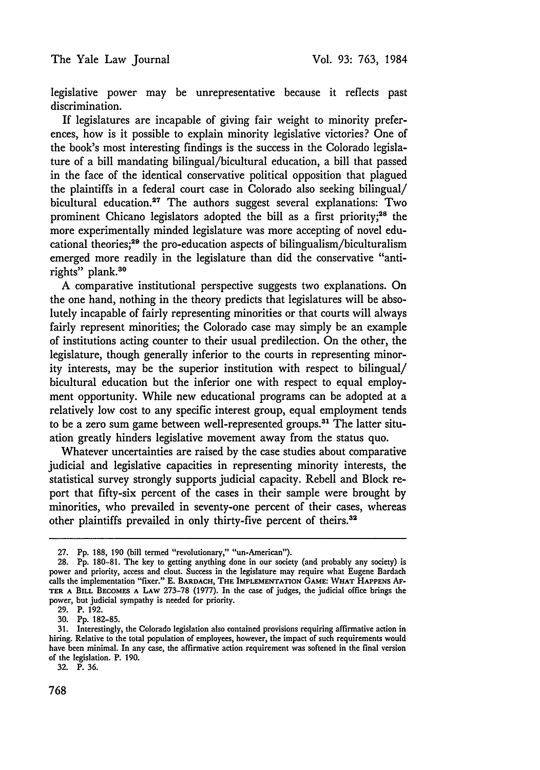legislative power may be unrepresentative because it reflects past discrimination.

If legislatures are incapable of giving fair weight to minority preferences, how is it possible to explain minority legislative victories? One of the book's most interesting findings is the success in the Colorado legislature of a bill mandating bilingual/bicultural education, a bill that passed in the face of the identical conservative political opposition that plagued the plaintiffs in a federal court case in Colorado also seeking bilingual/ bicultural education.<sup>27</sup> The authors suggest several explanations: Two prominent Chicano legislators adopted the bill as a first priority;<sup>28</sup> the more experimentally minded legislature was more accepting of novel educational theories;29 the pro-education aspects of bilingualism/biculturalism emerged more readily in the legislature than did the conservative "antirights" plank.<sup>30</sup>

A comparative institutional perspective suggests two explanations. On the one hand, nothing in the theory predicts that legislatures will be absolutely incapable of fairly representing minorities or that courts will always fairly represent minorities; the Colorado case may simply be an example of institutions acting counter to their usual predilection. On the other, the legislature, though generally inferior to the courts in representing minority interests, may be the superior institution with respect to bilingual/ bicultural education but the inferior one with respect to equal employment opportunity. While new educational programs can be adopted at a relatively low cost to any specific interest group, equal employment tends to be a zero sum game between well-represented groups.<sup>31</sup> The latter situation greatly hinders legislative movement away from the status quo.

Whatever uncertainties are raised by the case studies about comparative judicial and legislative capacities in representing minority interests, the statistical survey strongly supports judicial capacity. Rebell and Block report that fifty-six percent of the cases in their sample were brought by minorities, who prevailed in seventy-one percent of their cases, whereas other plaintiffs prevailed in only thirty-five percent of theirs.<sup>32</sup>

**<sup>27.</sup> Pp. 188, 190** (bill **termed** "revolutionary," "un-American").

**<sup>28.</sup> Pp. 180-81.** The key to getting anything done in our society (and probably any society) is power and priority, access and clout. Success in the legislature may require what Eugene Bardach calls the implementation "fixer." **E. BARDACH, THE IMPLEMENTATION GAME: WHAT HAPPENS AF-TER A** BILL **BECOMES A LAW 273-78 (1977).** In the case of judges, the judicial office brings the **power, but judicial sympathy is** needed **for priority.**

**<sup>29.</sup>** P. **192.**

**<sup>30.</sup> Pp. 182-85.**

**<sup>31.</sup>** Interestingly, the Colorado legislation also contained provisions requiring affirmative action in hiring. Relative to the total population of employees, however, the impact of such requirements would have been minimal. In any case, the affirmative action requirement was softened in the final version of the legislation. P. 190.

<sup>32.</sup> P. 36.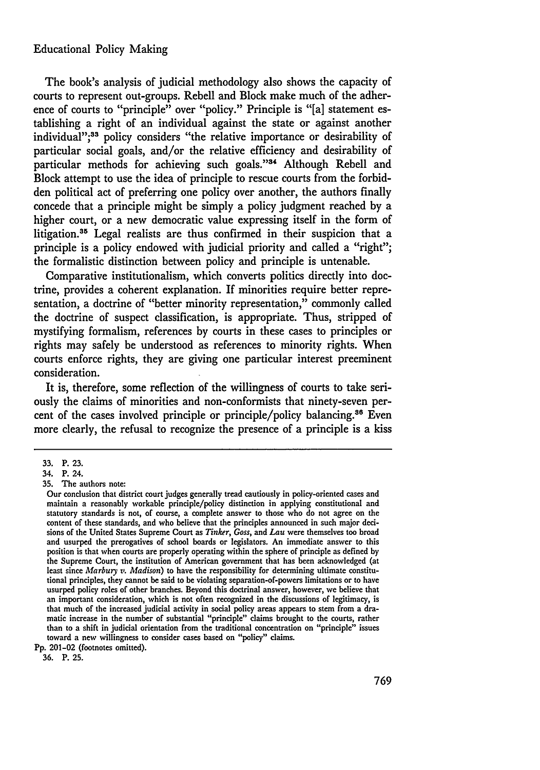The book's analysis of judicial methodology also shows the capacity of courts to represent out-groups. Rebell and Block make much of the adherence of courts to "principle" over "policy." Principle is "[a] statement establishing a right of an individual against the state or against another individual";<sup>33</sup> policy considers "the relative importance or desirability of particular social goals, and/or the relative efficiency and desirability of particular methods for achieving such goals."34 Although Rebell and Block attempt to use the idea of principle to rescue courts from the forbidden political act of preferring one policy over another, the authors finally concede that a principle might be simply a policy judgment reached **by** a higher court, or a new democratic value expressing itself in the form of litigation.<sup>35</sup> Legal realists are thus confirmed in their suspicion that a principle is a policy endowed with judicial priority and called a "right"; the formalistic distinction between policy and principle is untenable.

Comparative institutionalism, which converts politics directly into doctrine, provides a coherent explanation. If minorities require better representation, a doctrine of "better minority representation," commonly called the doctrine of suspect classification, is appropriate. Thus, stripped of mystifying formalism, references **by** courts in these cases to principles or rights may safely be understood as references to minority rights. When courts enforce rights, they are giving one particular interest preeminent consideration.

It is, therefore, some reflection of the willingness of courts to take seriously the claims of minorities and non-conformists that ninety-seven percent of the cases involved principle or principle/policy balancing.<sup>36</sup> Even more clearly, the refusal to recognize the presence of a principle is a kiss

**Pp.** 201-02 (footnotes omitted).

**36.** P. **25.**

<sup>33.</sup> P. 23.

<sup>34.</sup> P. 24.

**<sup>35.</sup>** The authors note:

Our conclusion that district court judges generally tread cautiously in policy-oriented cases and maintain a reasonably workable principle/policy distinction in applying constitutional and statutory standards is not, of course, a complete answer to those who do not agree on the content of these standards, and who believe that the principles announced in such major decisions of the United States Supreme Court as *Tinker, Goss, and Lau* were themselves too broad and usurped the prerogatives of school boards or legislators. An immediate answer to this position is that when courts are properly operating within the sphere of principle as defined **by** the Supreme Court, the institution of American government that has been acknowledged (at least since *Marbury v. Madison)* to have the responsibility for determining ultimate constitutional principles, they cannot be said to be violating separation-of-powers limitations or to have usurped policy roles of other branches. Beyond this doctrinal answer, however, we believe that an important consideration, which is not often recognized in the discussions of legitimacy, is that much of the increased judicial activity in social policy areas appears to stem from a dramatic increase in the number of substantial "principle" claims brought to the courts, rather than to a shift in judicial orientation from the traditional concentration on "principle" issues toward a new willingness to consider cases based on "policy" claims.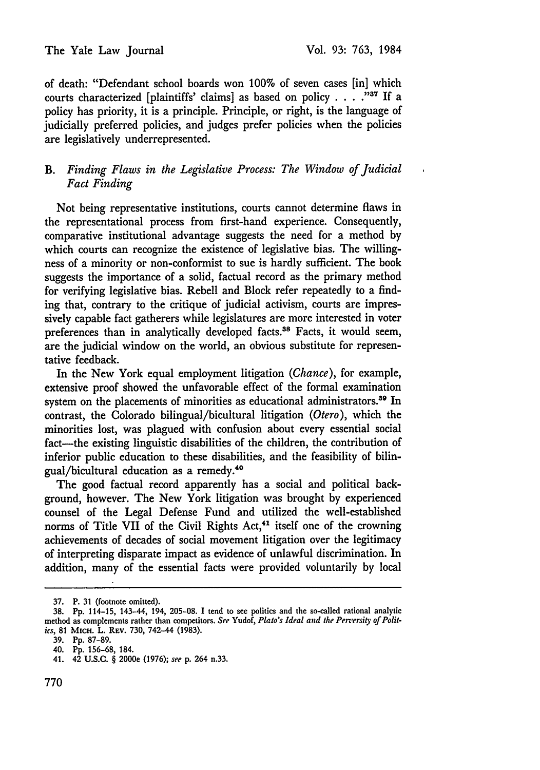of death: "Defendant school boards won 100% of seven cases [in] which courts characterized [plaintiffs' claims] as based on policy . . . .<sup>337</sup> If a policy has priority, it is a principle. Principle, or right, is the language of judicially preferred policies, and judges prefer policies when the policies are legislatively underrepresented.

## B. *Finding Flaws in the Legislative Process: The Window of Judicial Fact Finding*

Not being representative institutions, courts cannot determine flaws in the representational process from first-hand experience. Consequently, comparative institutional advantage suggests the need for a method by which courts can recognize the existence of legislative bias. The willingness of a minority or non-conformist to sue is hardly sufficient. The book suggests the importance of a solid, factual record as the primary method for verifying legislative bias. Rebell and Block refer repeatedly to a finding that, contrary to the critique of judicial activism, courts are impressively capable fact gatherers while legislatures are more interested in voter preferences than in analytically developed facts.<sup>38</sup> Facts, it would seem, are the judicial window on the world, an obvious substitute for representative feedback.

In the New York equal employment litigation *(Chance),* for example, extensive proof showed the unfavorable effect of the formal examination system on the placements of minorities as educational administrators.<sup>39</sup> In contrast, the Colorado bilingual/bicultural litigation *(Otero),* which the minorities lost, was plagued with confusion about every essential social fact—the existing linguistic disabilities of the children, the contribution of inferior public education to these disabilities, and the feasibility of bilingual/bicultural education as a remedy.40

The good factual record apparently has a social and political background, however. The New York litigation was brought by experienced counsel of the Legal Defense Fund and utilized the well-established norms of Title VII of the Civil Rights Act,<sup>41</sup> itself one of the crowning achievements of decades of social movement litigation over the legitimacy of interpreting disparate impact as evidence of unlawful discrimination. In addition, many of the essential facts were provided voluntarily by local

<sup>37.</sup> P. 31 (footnote omitted).

<sup>38.</sup> Pp. 114-15, 143-44, 194, 205-08. I tend to see politics and the so-called rational analytic method as complements rather than competitors. See Yudof, Plato's Ideal and the Perversity of Polit*ics,* **81** MICH. L. **REv. 730,** 742-44 **(1983).**

**<sup>39.</sup> Pp. 87-89.**

<sup>40.</sup> **Pp. 156-68,** 184.

<sup>41. 42</sup> **U.S.C.** § 2000e **(1976);** *see* **p.** 264 n.33.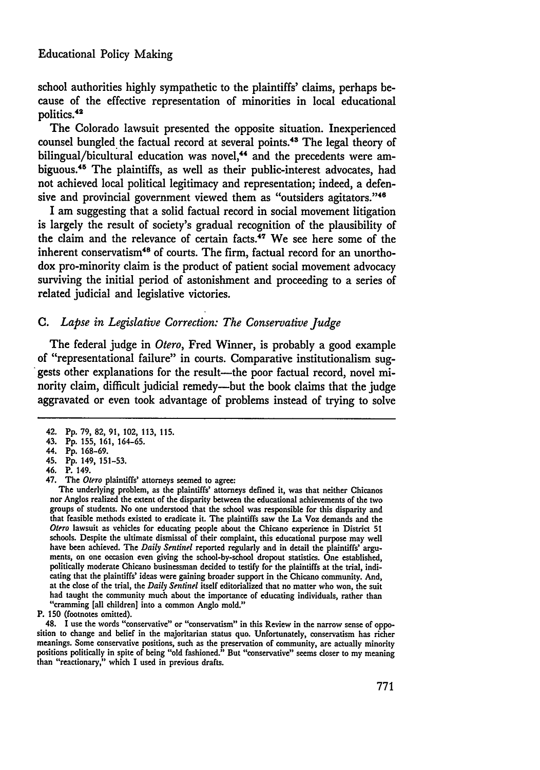school authorities **highly** sympathetic to the plaintiffs' claims, perhaps because of the effective representation of minorities in local educational politics.42

The Colorado lawsuit presented the opposite situation. Inexperienced counsel bungled the factual record at several points.<sup>43</sup> The legal theory of bilingual/bicultural education was novel,<sup>44</sup> and the precedents were ambiguous.45 The plaintiffs, as well as their public-interest advocates, had not achieved local political legitimacy and representation; indeed, a defensive and provincial government viewed them as "outsiders agitators."<sup>46</sup>

I am suggesting that a solid factual record in social movement litigation is largely the result of society's gradual recognition of the plausibility of the claim and the relevance of certain facts.<sup>47</sup> We see here some of the inherent conservatism<sup>48</sup> of courts. The firm, factual record for an unorthodox pro-minority claim is the product of patient social movement advocacy surviving the initial period of astonishment and proceeding to a series of related judicial and legislative victories.

## *C. Lapse in Legislative Correction: The Conservative Judge*

The federal judge in *Otero,* Fred Winner, is probably a good example of "representational failure" in courts. Comparative institutionalism suggests other explanations for the result-the poor factual record, novel minority claim, difficult judicial remedy-but the book claims that the judge aggravated or even took advantage of problems instead of trying to solve

- 44. **Pp. 168-69.**
- 45. **Pp.** 149, **151-53.**
- 46. P. 149.
- 47. The *Otero* plaintiffs' attorneys seemed to agree:

The underlying problem, as the plaintiffs' attorneys defined it, was that neither Chicanos nor Anglos realized the extent of the disparity between the educational achievements of the two groups of students. No one understood that the school was responsible for this disparity and that feasible methods existed to eradicate it. The plaintiffs saw the La Voz demands and the *Otero* lawsuit as vehicles for educating people about the Chicano experience in District **51** schools. Despite the ultimate dismissal of their complaint, this educational purpose may well have been achieved. The *Daily Sentinel* reported regularly and in detail the plaintiffs' arguments, on one occasion even giving the school-by-school dropout statistics. One established, politically moderate Chicano businessman decided to testify for the plaintiffs at the trial, indicating that the plaintiffs' ideas were gaining broader support in the Chicano community. And, at the close of the trial, the *Daily Sentinel* itself editorialized that no matter who won, the suit had taught the community much about the importance of educating individuals, rather than "cramming [all children] into a common Anglo mold."

P. **150** (footnotes omitted).

48. **I** use the words "conservative" or "conservatism" in this Review in the narrow sense of opposition to change and belief in the majoritarian status quo. Unfortunately, conservatism has richer meanings. Some conservative positions, such as the preservation of community, are actually minority positions politically in spite of being "old fashioned." But "conservative" seems closer to my meaning than "reactionary," which **I** used in previous drafts.

<sup>42.</sup> **Pp.** 79, 82, **91,** 102, **113,** 115.

<sup>43.</sup> **Pp. 155,** 161, **164-65.**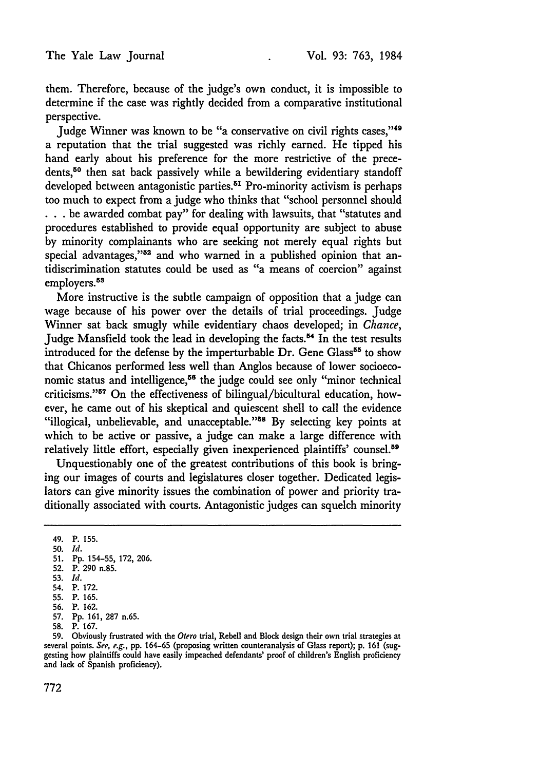them. Therefore, because of the judge's own conduct, it is impossible to determine if the case was rightly decided from a comparative institutional perspective.

Judge Winner was known to be "a conservative on civil rights cases,"<sup>49</sup> a reputation that the trial suggested was richly earned. He tipped his hand early about his preference for the more restrictive of the precedents,<sup>50</sup> then sat back passively while a bewildering evidentiary standoff developed between antagonistic parties.<sup>51</sup> Pro-minority activism is perhaps too much to expect from a judge who thinks that "school personnel should **. . .** be awarded combat pay" for dealing with lawsuits, that "statutes and procedures established to provide equal opportunity are subject to abuse by minority complainants who are seeking not merely equal rights but special advantages,"<sup>52</sup> and who warned in a published opinion that antidiscrimination statutes could be used as "a means of coercion" against employers.<sup>53</sup>

More instructive is the subtle campaign of opposition that a judge can wage because of his power over the details of trial proceedings. Judge Winner sat back smugly while evidentiary chaos developed; in *Chance,* Judge Mansfield took the lead in developing the facts.<sup>54</sup> In the test results introduced for the defense by the imperturbable Dr. Gene Glass<sup>55</sup> to show that Chicanos performed less well than Anglos because of lower socioeconomic status and intelligence,<sup>56</sup> the judge could see only "minor technical criticisms."<sup>57</sup> On the effectiveness of bilingual/bicultural education, however, he came out of his skeptical and quiescent shell to call the evidence "illogical, unbelievable, and unacceptable."<sup>58</sup> By selecting key points at which to be active or passive, a judge can make a large difference with relatively little effort, especially given inexperienced plaintiffs' counsel.<sup>59</sup>

Unquestionably one of the greatest contributions of this book is bringing our images of courts and legislatures closer together. Dedicated legislators can give minority issues the combination of power and priority traditionally associated with courts. Antagonistic judges can squelch minority

772

<sup>49.</sup> P. 155.

**<sup>50.</sup>** *Id.*

**<sup>51.</sup> Pp.** 154-55, **172, 206.**

**<sup>52.</sup>** P. **290** n.85.

**<sup>53.</sup>** *Id.*

<sup>54.</sup> P. 172.

<sup>55.</sup> P. 165.

<sup>56.</sup> P. 162.

<sup>57.</sup> Pp. 161, 287 n.65.

**<sup>58.</sup>** P. 167.

**<sup>59.</sup>** Obviously frustrated with the *Otero* trial, Rebell and Block design their own trial strategies at several points. See, e.g., **pp. 164-65** (proposing written counteranalysis **of** Glass report); **p. 161** (suggesting how plaintiffs could have easily impeached defendants' proof of children's English proficiency and lack of Spanish proficiency).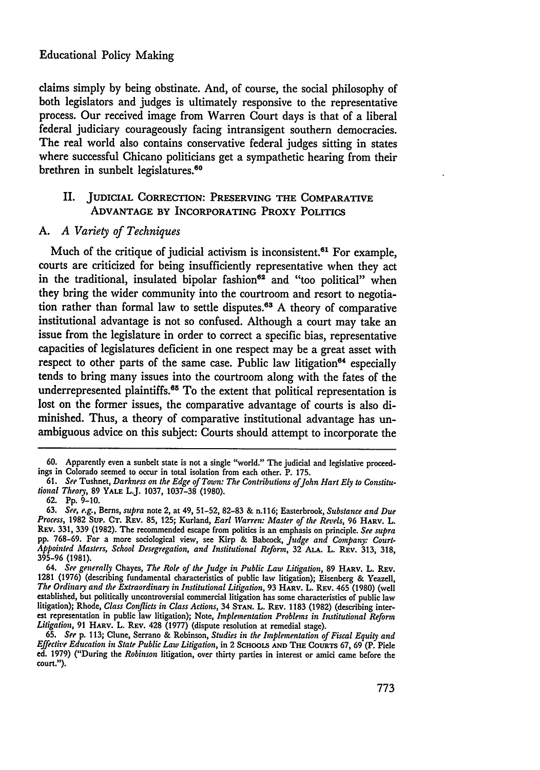claims simply **by** being obstinate. And, of course, the social philosophy of both legislators and judges is ultimately responsive to the representative process. Our received image from Warren Court days is that of a liberal federal judiciary courageously facing intransigent southern democracies. The real world also contains conservative federal judges sitting in states where successful Chicano politicians get a sympathetic hearing from their brethren in sunbelt legislatures.<sup>60</sup>

## II. **JUDICIAL CORRECTION: PRESERVING THE COMPARATIVE ADVANTAGE BY INCORPORATING PROXY POLITICS**

## **A.** *A Variety of Techniques*

Much of the critique of judicial activism is inconsistent.<sup>61</sup> For example, courts are criticized for being insufficiently representative when they act in the traditional, insulated bipolar fashion<sup>62</sup> and "too political" when they bring the wider community into the courtroom and resort to negotiation rather than formal law to settle disputes.<sup>63</sup> A theory of comparative institutional advantage is not so confused. Although a court may take an issue from the legislature in order to correct a specific bias, representative capacities of legislatures deficient in one respect may be a great asset with respect to other parts of the same case. Public law litigation<sup>64</sup> especially tends to bring many issues into the courtroom along with the fates of the underrepresented plaintiffs.<sup>65</sup> To the extent that political representation is lost on the former issues, the comparative advantage of courts is also diminished. Thus, a theory of comparative institutional advantage has unambiguous advice on this subject: Courts should attempt to incorporate the

**<sup>60.</sup>** Apparently even a sunbelt state is not a single "world." The judicial and legislative proceedings in Colorado seemed to occur in total isolation from each other. P. **175.**

**<sup>61.</sup>** *See* Tushnet, *Darkness on the Edge of Town: The Contributions ofJohn Hart Ely to Constitutional Theory,* **89 YALE L.J. 1037, 1037-38 (1980).**

**<sup>62.</sup> Pp. 9-10.**

**<sup>63.</sup>** *See, e.g.,* Berns, *supra* note 2, at 49, **51-52, 82-83 &** n.116; Easterbrook, *Substance and Due Process,* **1982 Sup. CT. REV. 85, 125;** Kurland, *Earl Warren: Master of the Revels,* **96 HARv. L. REv. 331, 339 (1982).** The recommended escape from politics is an emphasis on principle. *See supra* **pp. 768-69.** For a more sociological view, see Kirp **& Babcock,** *Judge and Company: Court-Appointed Masters, School Desegregation, and Institutional Reform,* **32 ALA.** L. Rav. **313, 318, 395-96 (1981).**

**<sup>64.</sup>** *See generally* Chayes, *The Role of the Judge in Public Law Litigation,* **89 HARV. L. REV. 1281 (1976)** (describing fundamental characteristics of public law litigation); Eisenberg **&** Yeazell, *The Ordinary and the Extraordinary in Institutional Litigation,* **93 HARV. L. REV.** 465 **(1980)** (well established, but politically uncontroversial commercial litigation has some characteristics of public law litigation); Rhode, *Class Conflicts in Class Actions,* 34 **STAN. L. REv. 1183 (1982)** (describing interest representation in public law litigation); Note, *Implemnentation Problems in Institutional Reform Litigation,* **91 HARv. L. REV.** 428 **(1977)** (dispute resolution at remedial stage).

**<sup>65.</sup>** *See* **p. 113;** Clune, Serrano **&** Robinson, *Studies in the Implementation of Fiscal Equity and Effective Education in State Public Law Litigation,* in 2 **SCHOOLS AND THE COURTS 67, 69** (P. Piele **ed. 1979)** ("During the *Robinson* litigation, over thirty parties in interest or amid came before the court.").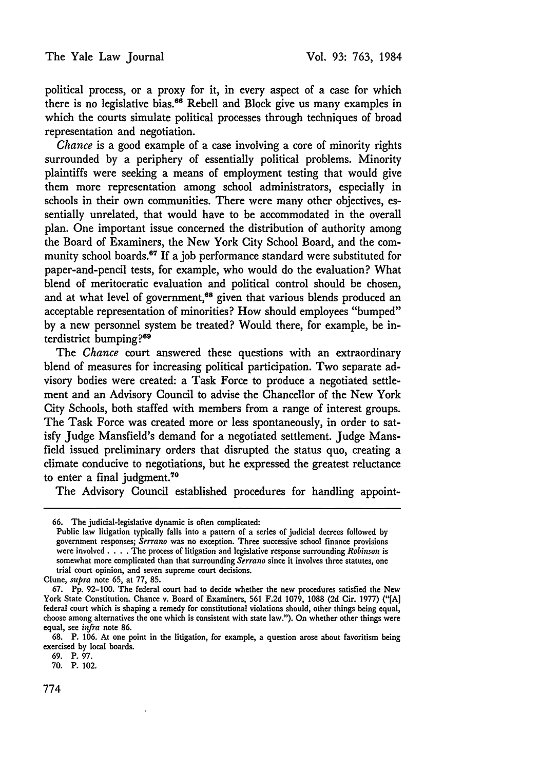political process, or a proxy for it, in every aspect of a case for which there is no legislative bias.<sup>66</sup> Rebell and Block give us many examples in which the courts simulate political processes through techniques of broad representation and negotiation.

*Chance* is a good example of a case involving a core of minority rights surrounded by a periphery of essentially political problems. Minority plaintiffs were seeking a means of employment testing that would give them more representation among school administrators, especially in schools in their own communities. There were many other objectives, essentially unrelated, that would have to be accommodated in the overall plan. One important issue concerned the distribution of authority among the Board of Examiners, the New York City School Board, and the community school boards.<sup>67</sup> If a job performance standard were substituted for paper-and-pencil tests, for example, who would do the evaluation? What blend of meritocratic evaluation and political control should be chosen, and at what level of government,<sup>68</sup> given that various blends produced an acceptable representation of minorities? How should employees "bumped" by a new personnel system be treated? Would there, for example, be interdistrict bumping?<sup>69</sup>

The *Chance* court answered these questions with an extraordinary blend of measures for increasing political participation. Two separate advisory bodies were created: a Task Force to produce a negotiated settlement and an Advisory Council to advise the Chancellor of the New York City Schools, both staffed with members from a range of interest groups. The Task Force was created more or less spontaneously, in order to satisfy Judge Mansfield's demand for a negotiated settlement. Judge Mansfield issued preliminary orders that disrupted the status quo, creating a climate conducive to negotiations, but he expressed the greatest reluctance to enter a final judgment. $70$ 

The Advisory Council established procedures for handling appoint-

69. P. 97. **70.** P. 102.

774

<sup>66.</sup> The judicial-legislative dynamic is often complicated:

Public law litigation typically falls into a pattern of a series of judicial decrees followed by government responses; *Serrano* was no exception. Three successive school finance provisions were involved . **. .** . The process of litigation and legislative response surrounding *Robinson* is somewhat more complicated than that surrounding *Serrano* since it involves three statutes, one trial court opinion, and seven supreme court decisions.

Clune, *supra* note **65,** at **77, 85.**

<sup>67.</sup> **Pp.** 92-100. The federal court had to decide whether the new procedures satisfied the New York State Constitution. Chance v. Board of Examiners, 561 **F.2d 1079,** 1088 **(2d** Cir. **1977) ("[A]** federal court which is shaping a remedy for constitutional violations should, other things being equal, choose among alternatives the one which is consistent with state law."). On whether other things were equal, see *ifra* note 86.

<sup>68.</sup> P. 106. At one point in the litigation, for example, a question arose about favoritism being exercised by local boards.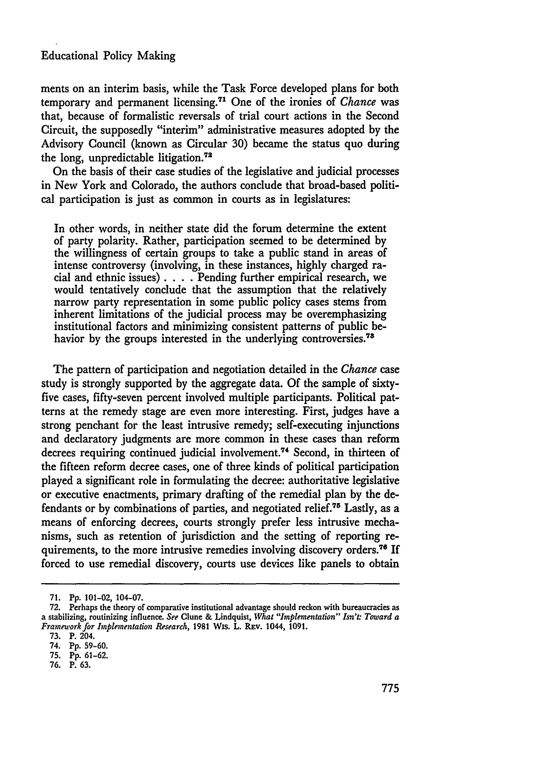ments on an interim basis, while the Task Force developed plans for both temporary and permanent licensing.7 1 One of the ironies of *Chance* was that, because of formalistic reversals of trial court actions in the Second Circuit, the supposedly "interim" administrative measures adopted by the Advisory Council (known as Circular 30) became the status quo during the long, unpredictable litigation.72

On the basis of their case studies of the legislative and judicial processes in New York and Colorado, the authors conclude that broad-based political participation is just as common in courts as in legislatures:

In other words, in neither state did the forum determine the extent of party polarity. Rather, participation seemed to be determined by the willingness of certain groups to take a public stand in areas of intense controversy (involving, in these instances, highly charged racial and ethnic issues). . **.** .Pending further empirical research, we would tentatively conclude that the assumption that the relatively narrow party representation in some public policy cases stems from inherent limitations of the judicial process may be overemphasizing institutional factors and minimizing consistent patterns of public behavior by the groups interested in the underlying controversies.<sup>78</sup>

The pattern of participation and negotiation detailed in the *Chance* case study is strongly supported by the aggregate data. **Of** the sample of sixtyfive cases, fifty-seven percent involved multiple participants. Political patterns at the remedy stage are even more interesting. First, judges have a strong penchant for the least intrusive remedy; self-executing injunctions and declaratory judgments are more common in these cases than reform decrees requiring continued judicial involvement.<sup>74</sup> Second, in thirteen of the fifteen reform decree cases, one of three kinds of political participation played a significant role in formulating the decree: authoritative legislative or executive enactments, primary drafting of the remedial plan by the defendants or by combinations of parties, and negotiated relief.75 Lastly, as a means of enforcing decrees, courts strongly prefer less intrusive mechanisms, such as retention of jurisdiction and the setting of reporting requirements, to the more intrusive remedies involving discovery orders.<sup>76</sup> If forced to use remedial discovery, courts use devices like panels to obtain

<sup>71.</sup> **Pp.** 101-02, 104-07.

**<sup>72.</sup>** Perhaps the theory of comparative institutional advantage should reckon with bureaucracies as a stabilizing, routinizing influence. *See* Clune **&** Lindquist, *What "Implementation" Isn't: Toward a Framework for Implementation Research, 1981 Wis. L. REV. 1044, 1091.* 

**<sup>73.</sup>** P. 204.

<sup>74.</sup> **Pp.** 59-60.

**<sup>75.</sup> Pp.** 61-62.

<sup>76.</sup> P. **63.**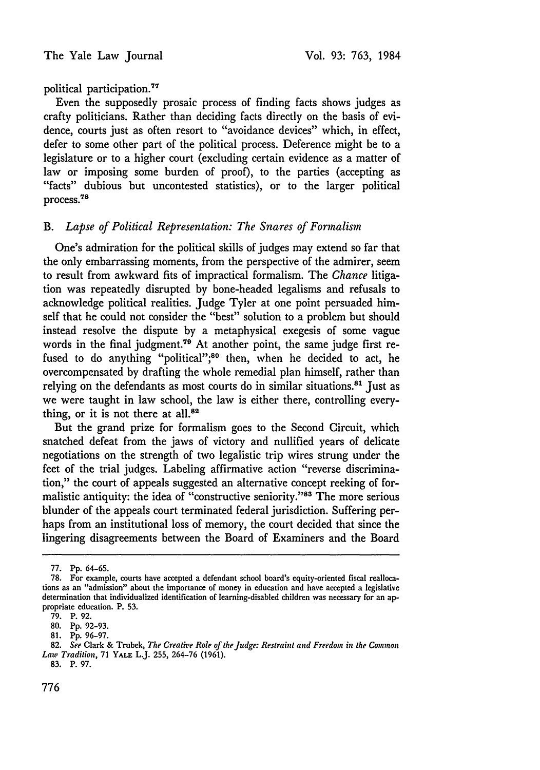political participation."

Even the supposedly prosaic process of finding facts shows judges as crafty politicians. Rather than deciding facts directly on the basis of evidence, courts just as often resort to "avoidance devices" which, in effect, defer to some other part of the political process. Deference might be to a legislature or to a higher court (excluding certain evidence as a matter of law or imposing some burden of proof), to the parties (accepting as "facts" dubious but uncontested statistics), or to the larger political process.78

#### *B. Lapse of Political Representation: The Snares of Formalism*

One's admiration for the political skills of judges may extend so far that the only embarrassing moments, from the perspective of the admirer, seem to result from awkward fits of impractical formalism. The *Chance* litigation was repeatedly disrupted by bone-headed legalisms and refusals to acknowledge political realities. Judge Tyler at one point persuaded himself that he could not consider the "best" solution to a problem but should instead resolve the dispute by a metaphysical exegesis of some vague words in the final judgment.<sup>79</sup> At another point, the same judge first refused to do anything "political";<sup>80</sup> then, when he decided to act, he overcompensated by drafting the whole remedial plan himself, rather than relying on the defendants as most courts do in similar situations.<sup>81</sup> Just as we were taught in law school, the law is either there, controlling everything, or it is not there at all.<sup>82</sup>

But the grand prize for formalism goes to the Second Circuit, which snatched defeat from the jaws of victory and nullified years of delicate negotiations on the strength of two legalistic trip wires strung under the feet of the trial judges. Labeling affirmative action "reverse discrimination," the court of appeals suggested an alternative concept reeking of formalistic antiquity: the idea of "constructive seniority."83 The more serious blunder of the appeals court terminated federal jurisdiction. Suffering perhaps from an institutional loss of memory, the court decided that since the lingering disagreements between the Board of Examiners and the Board

<sup>77.</sup> Pp. 64-65.

<sup>78.</sup> For example, courts have accepted a defendant school board's equity-oriented fiscal reallocations as an "admission" about the importance of money in education and have accepted a legislative determination that individualized identification of learning-disabled children was necessary for an appropriate education. P. 53.

<sup>79.</sup> P. 92.

<sup>80.</sup> Pp. 92-93.

<sup>81.</sup> Pp. 96-97.

<sup>82.</sup> *See* Clark & Trubek, *The Creative Role of the Judge: Restraint and Freedom in the Coyn mon Lau' Tradition,* 71 YALE L.J. 255, 264-76 (1961).

<sup>83.</sup> P. 97.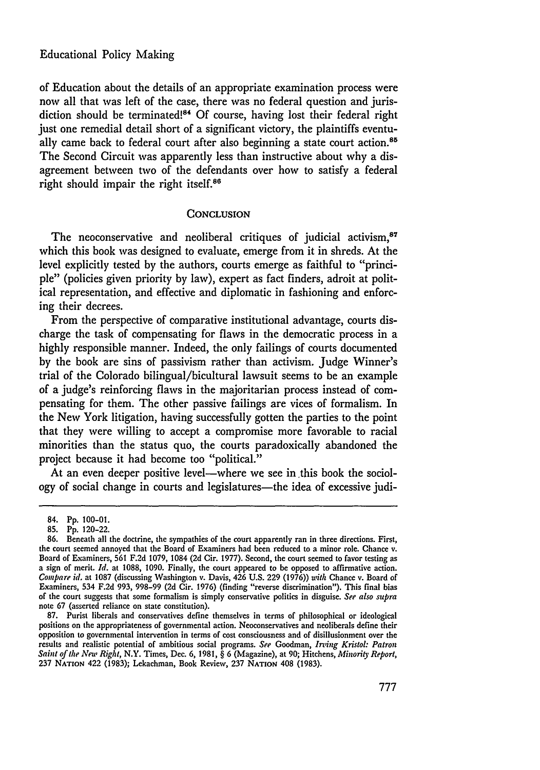of Education about the details of an appropriate examination process were now all that was left of the case, there was no federal question and jurisdiction should be terminated!<sup>84</sup> Of course, having lost their federal right just one remedial detail short of a significant victory, the plaintiffs eventually came back to federal court after also beginning a state court action. <sup>85</sup> The Second Circuit was apparently less than instructive about why a disagreement between two of the defendants over how to satisfy a federal right should impair the right itself.<sup>86</sup>

#### **CONCLUSION**

The neoconservative and neoliberal critiques of judicial activism,<sup>87</sup> which this book was designed to evaluate, emerge from it in shreds. At the level explicitly tested by the authors, courts emerge as faithful to "principle" (policies given priority by law), expert as fact finders, adroit at political representation, and effective and diplomatic in fashioning and enforcing their decrees.

From the perspective of comparative institutional advantage, courts discharge the task of compensating for flaws in the democratic process in a highly responsible manner. Indeed, the only failings of courts documented by the book are sins of passivism rather than activism. Judge Winner's trial of the Colorado bilingual/bicultural lawsuit seems to be an example of a judge's reinforcing flaws in the majoritarian process instead of compensating for them. The other passive failings are vices of formalism. In the New York litigation, having successfully gotten the parties to the point that they were willing to accept a compromise more favorable to racial minorities than the status quo, the courts paradoxically abandoned the project because it had become too "political."

At an even deeper positive level-where we see in this book the sociology of social change in courts and legislatures-the idea of excessive judi-

<sup>84.</sup> Pp. 100-01.

<sup>85.</sup> Pp. 120-22.

<sup>86.</sup> Beneath all the doctrine, the sympathies of the court apparently ran in three directions. First, the court seemed annoyed that the Board of Examiners had been reduced to a minor role. Chance v. Board of Examiners, 561 F.2d 1079, 1084 (2d Cir. 1977). Second, the court seemed to favor testing as a sign of merit. *Id.* at 1088, 1090. Finally, the court appeared to be opposed to affirmative action. *Compare* id. at 1087 (discussing Washington v. Davis, 426 U.S. 229 (1976)) *with* Chance v. Board of Examiners, 534 F.2d 993, 998-99 (2d Cir. 1976) (finding "reverse discrimination"). This final bias of the court suggests that some formalism is simply conservative politics in disguise. *See also supra* note 67 (asserted reliance on state constitution).

<sup>87.</sup> Purist liberals and conservatives define themselves in terms of philosophical or ideological positions on the appropriateness of governmental action. Neoconservatives and neoliberals define their opposition to governmental intervention in terms of cost consciousness and of disillusionment over the results and realistic potential of ambitious social programs. *See* Goodman, *Iming Kristol: Patron Saint of the New Right,* N.Y. Times, Dec. **6, 1981,** § 6 (Magazine), at **90;** Hitchens, *Minority Report,* 237 **NATION** 422 (1983); Lekachman, Book Review, 237 NATION 408 (1983).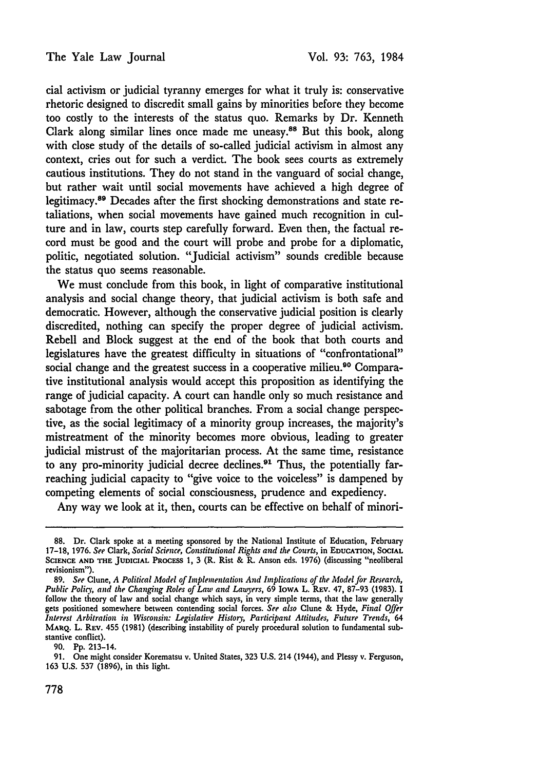cial activism or judicial tyranny emerges for what it truly is: conservative rhetoric designed to discredit small gains by minorities before they become too costly to the interests of the status quo. Remarks by Dr. Kenneth Clark along similar lines once made me uneasy.<sup>88</sup> But this book, along with close study of the details of so-called judicial activism in almost any context, cries out for such a verdict. The book sees courts as extremely cautious institutions. They do not stand in the vanguard of social change, but rather wait until social movements have achieved a high degree of legitimacy.89 Decades after the first shocking demonstrations and state retaliations, when social movements have gained much recognition in culture and in law, courts step carefully forward. Even then, the factual record must be good and the court will probe and probe for a diplomatic, politic, negotiated solution. "Judicial activism" sounds credible because the status quo seems reasonable.

We must conclude from this book, in light of comparative institutional analysis and social change theory, that judicial activism is both safe and democratic. However, although the conservative judicial position is clearly discredited, nothing can specify the proper degree of judicial activism. Rebell and Block suggest at the end of the book that both courts and legislatures have the greatest difficulty in situations of "confrontational" social change and the greatest success in a cooperative milieu.<sup>90</sup> Comparative institutional analysis would accept this proposition as identifying the range of judicial capacity. A court can handle only so much resistance and sabotage from the other political branches. From a social change perspective, as the social legitimacy of a minority group increases, the majority's mistreatment of the minority becomes more obvious, leading to greater judicial mistrust of the majoritarian process. At the same time, resistance to any pro-minority judicial decree declines.<sup>91</sup> Thus, the potentially farreaching judicial capacity to "give voice to the voiceless" is dampened by competing elements of social consciousness, prudence and expediency.

Any way we look at it, then, courts can be effective on behalf of minori-

90. **Pp.** 213-14.

91. **One** might consider Korematsu v. United States, 323 U.S. 214 (1944), and Plessy v. Ferguson, 163 U.S. 537 (1896), in this light.

**<sup>88.</sup>** Dr. Clark spoke at a meeting sponsored **by** the National Institute of Education, February **17-18, 1976.** *See* Clark, *Social Science, Constitutional Rights and the Courts,* in **EDUCATION, SOCIAL SCIENCE AND THE JUDICIAL PROCESS 1, 3** (R. Rist **&** R. Anson eds. 1976) (discussing "neoliberal revisionism").

<sup>89.</sup> *See* Clune, *A Political Model of Inplementation And Implications of the Model for Research, Public Policy, and the Changing Roles of Law and Lau'ers,* 69 IowA L. **REv.** 47, **87-93** (1983). I follow the theory of law and social change which says, in very simple terms, that the law generally gets positioned somewhere between contending social forces. *See also* Clune **&** Hyde, *Final Offer Interest Arbitration in Wisconsin: Legislative History, Participant Attitudes, Future Trends,* 64 MARQ. L. REv. 455 (1981) (describing instability of purely procedural solution to fundamental substantive conflict).